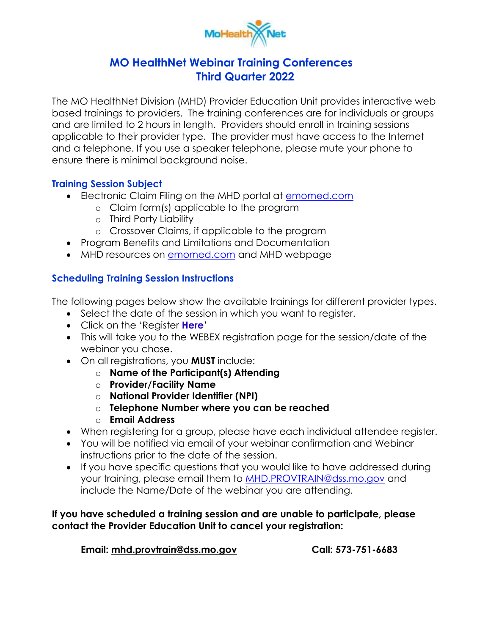

## **MO HealthNet Webinar Training Conferences Third Quarter 2022**

 based trainings to providers. The training conferences are for individuals or groups and are limited to 2 hours in length. Providers should enroll in training sessions applicable to their provider type. The provider must have access to the Internet ensure there is minimal background noise. The MO HealthNet Division (MHD) Provider Education Unit provides interactive web and a telephone. If you use a speaker telephone, please mute your phone to

## **Training Session Subject**

- Electronic Claim Filing on the MHD portal at **emomed.com** 
	- o Claim form(s) applicable to the program
	- o Third Party Liability
	- o Crossover Claims, if applicable to the program
- Program Benefits and Limitations and Documentation
- MHD resources on **emomed.com** and MHD webpage

## **Scheduling Training Session Instructions**

The following pages below show the available trainings for different provider types.

- Select the date of the session in which you want to register.
- Click on the 'Register **Here**'
- This will take you to the WEBEX registration page for the session/date of the webinar you chose.
- On all registrations, you **MUST** include:
	- o **Name of the Participant(s) Attending**
	- o **Provider/Facility Name**
	- o **National Provider Identifier (NPI)**
	- o **Telephone Number where you can be reached**
	- o **Email Address**
- When registering for a group, please have each individual attendee register.
- instructions prior to the date of the session. You will be notified via email of your webinar confirmation and Webinar
- include the Name/Date of the webinar you are attending. If you have specific questions that you would like to have addressed during your training, please email them to [MHD.PROVTRAIN@dss.mo.gov](mailto:MHD.PROVTRAIN@dss.mo.gov) and

## **If you have scheduled a training session and are unable to participate, please contact the Provider Education Unit to cancel your registration:**

**Email: [mhd.provtrain@dss.mo.gov](mailto:mhd.provtrain@dss.mo.gov) Call: 573-751-6683**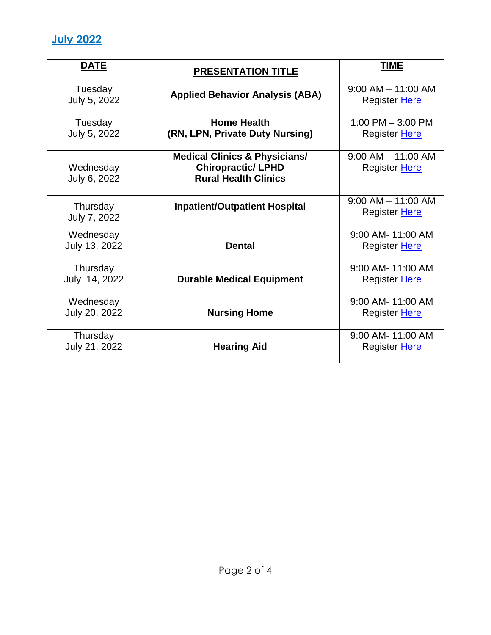

| <b>DATE</b>             | <b>PRESENTATION TITLE</b>                | <b>TIME</b>                             |
|-------------------------|------------------------------------------|-----------------------------------------|
| Tuesday<br>July 5, 2022 | <b>Applied Behavior Analysis (ABA)</b>   | $9:00$ AM $-$ 11:00 AM<br>Register Here |
| Tuesday                 | <b>Home Health</b>                       | 1:00 PM $-$ 3:00 PM                     |
| July 5, 2022            | (RN, LPN, Private Duty Nursing)          | Register Here                           |
|                         | <b>Medical Clinics &amp; Physicians/</b> | $9:00$ AM $-$ 11:00 AM                  |
| Wednesday               | <b>Chiropractic/ LPHD</b>                | Register Here                           |
| July 6, 2022            | <b>Rural Health Clinics</b>              |                                         |
| Thursday                | <b>Inpatient/Outpatient Hospital</b>     | $9:00$ AM $-$ 11:00 AM                  |
| July 7, 2022            |                                          | Register Here                           |
| Wednesday               |                                          | 9:00 AM- 11:00 AM                       |
| July 13, 2022           | <b>Dental</b>                            | Register Here                           |
| Thursday                |                                          | 9:00 AM- 11:00 AM                       |
| July 14, 2022           | <b>Durable Medical Equipment</b>         | Register Here                           |
| Wednesday               |                                          | 9:00 AM- 11:00 AM                       |
| July 20, 2022           | <b>Nursing Home</b>                      | Register Here                           |
| Thursday                |                                          | 9:00 AM- 11:00 AM                       |
| July 21, 2022           | <b>Hearing Aid</b>                       | Register Here                           |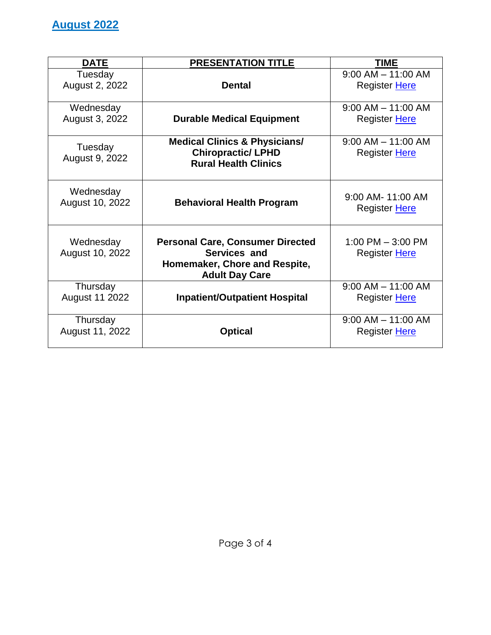| <b>DATE</b>                  | <b>PRESENTATION TITLE</b>                                                                                         | <b>TIME</b>                                    |
|------------------------------|-------------------------------------------------------------------------------------------------------------------|------------------------------------------------|
| Tuesday<br>August 2, 2022    | <b>Dental</b>                                                                                                     | $9:00$ AM $-$ 11:00 AM<br>Register Here        |
| Wednesday<br>August 3, 2022  | <b>Durable Medical Equipment</b>                                                                                  | $9:00$ AM $-$ 11:00 AM<br><b>Register Here</b> |
| Tuesday<br>August 9, 2022    | <b>Medical Clinics &amp; Physicians/</b><br><b>Chiropractic/ LPHD</b><br><b>Rural Health Clinics</b>              | $9:00$ AM $-$ 11:00 AM<br>Register Here        |
| Wednesday<br>August 10, 2022 | <b>Behavioral Health Program</b>                                                                                  | 9:00 AM- 11:00 AM<br>Register Here             |
| Wednesday<br>August 10, 2022 | <b>Personal Care, Consumer Directed</b><br>Services and<br>Homemaker, Chore and Respite,<br><b>Adult Day Care</b> | 1:00 PM $-$ 3:00 PM<br>Register Here           |
| Thursday<br>August 11 2022   | <b>Inpatient/Outpatient Hospital</b>                                                                              | $9:00$ AM $-$ 11:00 AM<br>Register Here        |
| Thursday<br>August 11, 2022  | <b>Optical</b>                                                                                                    | $9:00$ AM $-$ 11:00 AM<br>Register Here        |